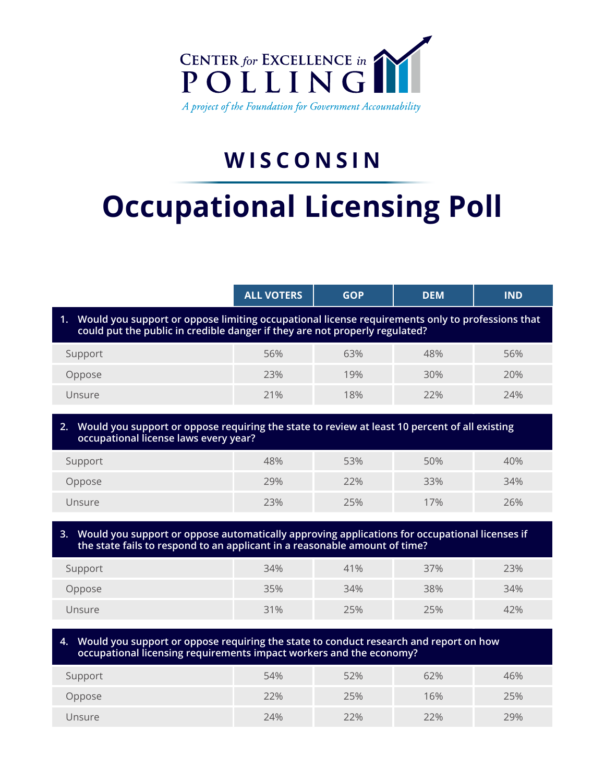

## **WISCONSIN**

# **Occupational Licensing Poll**

|                                                                                                                                                                                      | <b>ALL VOTERS</b> | <b>GOP</b> | <b>DEM</b> | <b>IND</b> |  |
|--------------------------------------------------------------------------------------------------------------------------------------------------------------------------------------|-------------------|------------|------------|------------|--|
| Would you support or oppose limiting occupational license requirements only to professions that<br>1.<br>could put the public in credible danger if they are not properly regulated? |                   |            |            |            |  |
| Support                                                                                                                                                                              | 56%               | 63%        | 48%        | 56%        |  |
| Oppose                                                                                                                                                                               | 23%               | 19%        | 30%        | 20%        |  |
| Unsure                                                                                                                                                                               | 21%               | 18%        | 22%        | 24%        |  |
| Would you support or oppose requiring the state to review at least 10 percent of all existing<br>2.<br>occupational license laws every year?                                         |                   |            |            |            |  |
| Support                                                                                                                                                                              | 48%               | 53%        | 50%        | 40%        |  |
| Oppose                                                                                                                                                                               | 29%               | 22%        | 33%        | 34%        |  |
| Unsure                                                                                                                                                                               | 23%               | 25%        | 17%        | 26%        |  |
| Would you support or oppose automatically approving applications for occupational licenses if<br>3.<br>the state fails to respond to an applicant in a reasonable amount of time?    |                   |            |            |            |  |
| Support                                                                                                                                                                              | 34%               | 41%        | 37%        | 23%        |  |

| Support | 34% | 41% | 37% | 23% |
|---------|-----|-----|-----|-----|
| Oppose  | 35% | 34% | 38% | 34% |
| Unsure  | 31% | 25% | 25% | 42% |

**4. Would you support or oppose requiring the state to conduct research and report on how occupational licensing requirements impact workers and the economy?**

| Support | 54% | 52% | 62% | 46% |
|---------|-----|-----|-----|-----|
| Oppose  | 22% | 25% | 16% | 25% |
| Unsure  | 24% | 22% | 22% | 29% |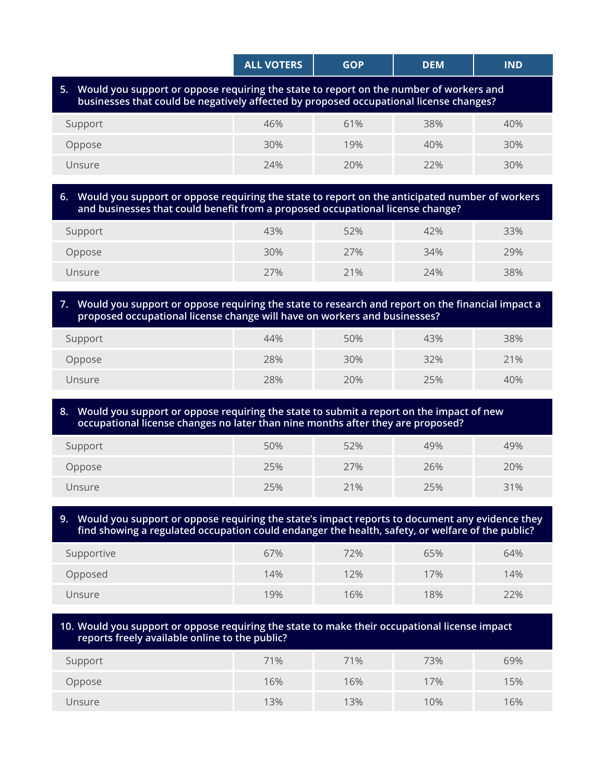|                                                                                                                                                                                     | <b>ALL VOTERS</b> | <b>GOP</b> | <b>DEM</b> | <b>IND</b> |  |
|-------------------------------------------------------------------------------------------------------------------------------------------------------------------------------------|-------------------|------------|------------|------------|--|
| 5. Would you support or oppose requiring the state to report on the number of workers and<br>businesses that could be negatively affected by proposed occupational license changes? |                   |            |            |            |  |
| Support                                                                                                                                                                             | 46%               | 61%        | 38%        | 40%        |  |
| Oppose                                                                                                                                                                              | 30%               | 19%        | 40%        | 30%        |  |
| Unsure                                                                                                                                                                              | 74%               | 20%        | 22%        | 30%        |  |
|                                                                                                                                                                                     |                   |            |            |            |  |

#### **6. Would you support or oppose requiring the state to report on the anticipated number of workers and businesses that could benefit from a proposed occupational license change?**

| Support | 43% | 52% | 42% | 33% |
|---------|-----|-----|-----|-----|
| Oppose  | 30% | 27% | 34% | 29% |
| Unsure  | 27% | 21% | 24% | 38% |

#### **7. Would you support or oppose requiring the state to research and report on the financial impact a proposed occupational license change will have on workers and businesses?**

| Support | 44% | 50% | 43% | 38% |
|---------|-----|-----|-----|-----|
| Oppose  | 28% | 30% | 32% | 21% |
| Unsure  | 28% | 20% | 25% | 40% |

#### **8. Would you support or oppose requiring the state to submit a report on the impact of new occupational license changes no later than nine months after they are proposed?**

| Support | 50% | 52% | 49% | 49% |
|---------|-----|-----|-----|-----|
| Oppose  | 25% | 27% | 26% | 20% |
| Unsure  | 25% | 21% | 25% | 31% |

**9. Would you support or oppose requiring the state's impact reports to document any evidence they find showing a regulated occupation could endanger the health, safety, or welfare of the public?**

| Supportive | 67% | 72% | 65% | 64% |
|------------|-----|-----|-----|-----|
| Opposed    | 14% | 12% | 17% | 14% |
| Unsure     | 19% | 16% | 18% | 22% |

### **10. Would you support or oppose requiring the state to make their occupational license impact reports freely available online to the public?** Support 71% 71% 73% 69% Oppose 16% 16% 17% 15%

Unsure 13% 13% 10% 16%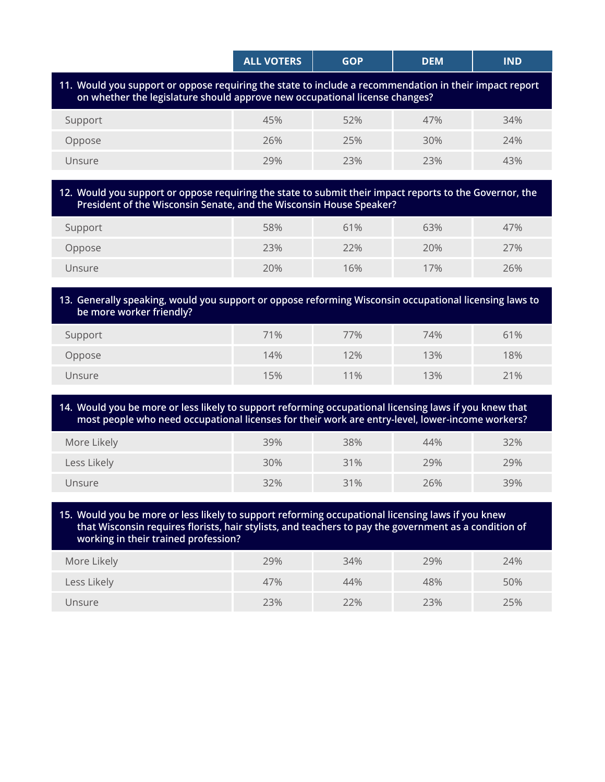|                                                                                                                 | <b>ALL VOTERS</b> | GOP | DEM | <b>IND</b> |
|-----------------------------------------------------------------------------------------------------------------|-------------------|-----|-----|------------|
| the contract of the contract of the contract of the contract of the contract of the contract of the contract of |                   |     |     |            |

#### **11. Would you support or oppose requiring the state to include a recommendation in their impact report on whether the legislature should approve new occupational license changes?**

| Support | 45% | 52% | 47% | 34% |
|---------|-----|-----|-----|-----|
| Oppose  | 26% | 25% | 30% | 24% |
| Unsure  | 29% | 23% | 23% | 43% |

#### **12. Would you support or oppose requiring the state to submit their impact reports to the Governor, the President of the Wisconsin Senate, and the Wisconsin House Speaker?**

| Support | 58% | 61% | 63% | 47% |
|---------|-----|-----|-----|-----|
| Oppose  | 23% | 22% | 20% | 27% |
| Unsure  | 20% | 16% | 17% | 26% |

#### **13. Generally speaking, would you support or oppose reforming Wisconsin occupational licensing laws to be more worker friendly?**

| Support | 71% | 77% | 74% | 61% |
|---------|-----|-----|-----|-----|
| Oppose  | 14% | 12% | 13% | 18% |
| Unsure  | 15% | 11% | 13% | 21% |

#### **14. Would you be more or less likely to support reforming occupational licensing laws if you knew that most people who need occupational licenses for their work are entry-level, lower-income workers?**

| More Likely | 39% | 38% | 44% | 32% |
|-------------|-----|-----|-----|-----|
| Less Likely | 30% | 31% | 29% | 29% |
| Unsure      | 32% | 31% | 26% | 39% |

#### **15. Would you be more or less likely to support reforming occupational licensing laws if you knew that Wisconsin requires florists, hair stylists, and teachers to pay the government as a condition of working in their trained profession?**

| More Likely | 29% | 34% | 29% | 24% |
|-------------|-----|-----|-----|-----|
| Less Likely | 47% | 44% | 48% | 50% |
| Unsure      | 23% | 22% | 23% | 25% |